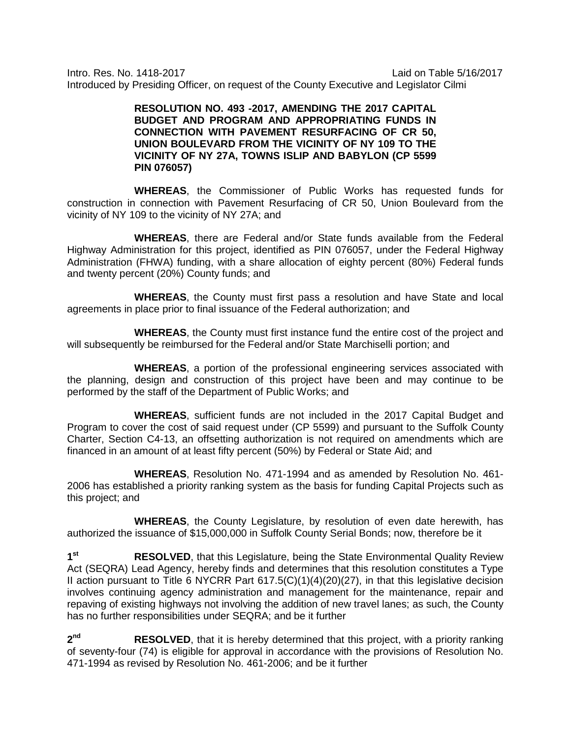Intro. Res. No. 1418-2017 Laid on Table 5/16/2017 Introduced by Presiding Officer, on request of the County Executive and Legislator Cilmi

## **RESOLUTION NO. 493 -2017, AMENDING THE 2017 CAPITAL BUDGET AND PROGRAM AND APPROPRIATING FUNDS IN CONNECTION WITH PAVEMENT RESURFACING OF CR 50, UNION BOULEVARD FROM THE VICINITY OF NY 109 TO THE VICINITY OF NY 27A, TOWNS ISLIP AND BABYLON (CP 5599 PIN 076057)**

**WHEREAS**, the Commissioner of Public Works has requested funds for construction in connection with Pavement Resurfacing of CR 50, Union Boulevard from the vicinity of NY 109 to the vicinity of NY 27A; and

**WHEREAS**, there are Federal and/or State funds available from the Federal Highway Administration for this project, identified as PIN 076057, under the Federal Highway Administration (FHWA) funding, with a share allocation of eighty percent (80%) Federal funds and twenty percent (20%) County funds; and

**WHEREAS**, the County must first pass a resolution and have State and local agreements in place prior to final issuance of the Federal authorization; and

**WHEREAS**, the County must first instance fund the entire cost of the project and will subsequently be reimbursed for the Federal and/or State Marchiselli portion; and

**WHEREAS**, a portion of the professional engineering services associated with the planning, design and construction of this project have been and may continue to be performed by the staff of the Department of Public Works; and

**WHEREAS**, sufficient funds are not included in the 2017 Capital Budget and Program to cover the cost of said request under (CP 5599) and pursuant to the Suffolk County Charter, Section C4-13, an offsetting authorization is not required on amendments which are financed in an amount of at least fifty percent (50%) by Federal or State Aid; and

**WHEREAS**, Resolution No. 471-1994 and as amended by Resolution No. 461- 2006 has established a priority ranking system as the basis for funding Capital Projects such as this project; and

**WHEREAS**, the County Legislature, by resolution of even date herewith, has authorized the issuance of \$15,000,000 in Suffolk County Serial Bonds; now, therefore be it

1<sup>st</sup> RESOLVED, that this Legislature, being the State Environmental Quality Review Act (SEQRA) Lead Agency, hereby finds and determines that this resolution constitutes a Type II action pursuant to Title 6 NYCRR Part 617.5(C)(1)(4)(20)(27), in that this legislative decision involves continuing agency administration and management for the maintenance, repair and repaving of existing highways not involving the addition of new travel lanes; as such, the County has no further responsibilities under SEQRA; and be it further

**2nd RESOLVED**, that it is hereby determined that this project, with a priority ranking of seventy-four (74) is eligible for approval in accordance with the provisions of Resolution No. 471-1994 as revised by Resolution No. 461-2006; and be it further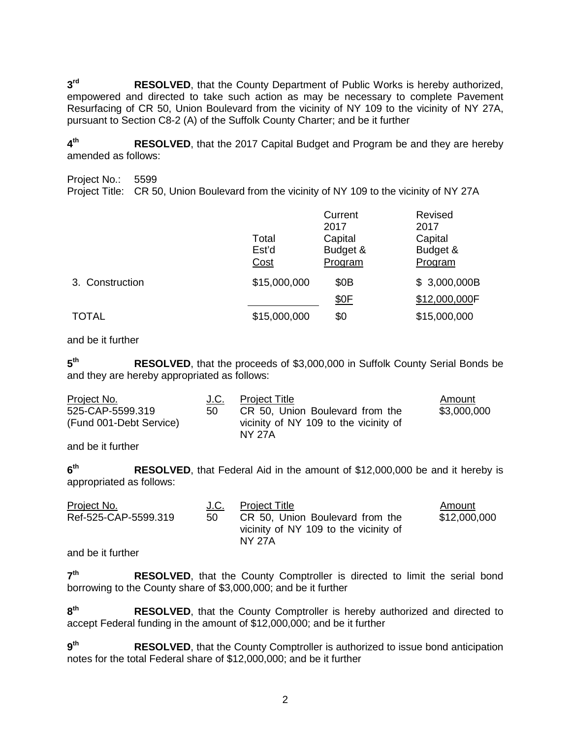**3<sup>rd</sup> RESOLVED**, that the County Department of Public Works is hereby authorized, empowered and directed to take such action as may be necessary to complete Pavement Resurfacing of CR 50, Union Boulevard from the vicinity of NY 109 to the vicinity of NY 27A, pursuant to Section C8-2 (A) of the Suffolk County Charter; and be it further

**4th RESOLVED**, that the 2017 Capital Budget and Program be and they are hereby amended as follows:

Project No.: 5599 Project Title: CR 50, Union Boulevard from the vicinity of NY 109 to the vicinity of NY 27A

|                 | Total<br>Est'd<br>Cost | Current<br>2017<br>Capital<br>Budget &<br>Program | Revised<br>2017<br>Capital<br>Budget &<br>Program |
|-----------------|------------------------|---------------------------------------------------|---------------------------------------------------|
| 3. Construction | \$15,000,000           | \$0 <sub>B</sub>                                  | \$3,000,000B                                      |
|                 |                        | \$0F                                              | \$12,000,000F                                     |
| <b>TOTAL</b>    | \$15,000,000           | \$0                                               | \$15,000,000                                      |

and be it further

**5th RESOLVED**, that the proceeds of \$3,000,000 in Suffolk County Serial Bonds be and they are hereby appropriated as follows:

| Project No.             | J.C. | <b>Project Title</b>                            | Amount      |
|-------------------------|------|-------------------------------------------------|-------------|
| 525-CAP-5599.319        | -50  | CR 50, Union Boulevard from the                 | \$3,000,000 |
| (Fund 001-Debt Service) |      | vicinity of NY 109 to the vicinity of<br>NY 27A |             |

and be it further

**6th RESOLVED**, that Federal Aid in the amount of \$12,000,000 be and it hereby is appropriated as follows:

| Project No.          | J.C. | <b>Project Title</b>                                                                      | Amount       |
|----------------------|------|-------------------------------------------------------------------------------------------|--------------|
| Ref-525-CAP-5599.319 | -50  | CR 50, Union Boulevard from the<br>vicinity of NY 109 to the vicinity of<br><b>NY 27A</b> | \$12,000,000 |

and be it further

7<sup>th</sup> RESOLVED, that the County Comptroller is directed to limit the serial bond borrowing to the County share of \$3,000,000; and be it further

8<sup>th</sup> RESOLVED, that the County Comptroller is hereby authorized and directed to accept Federal funding in the amount of \$12,000,000; and be it further

**9th RESOLVED**, that the County Comptroller is authorized to issue bond anticipation notes for the total Federal share of \$12,000,000; and be it further